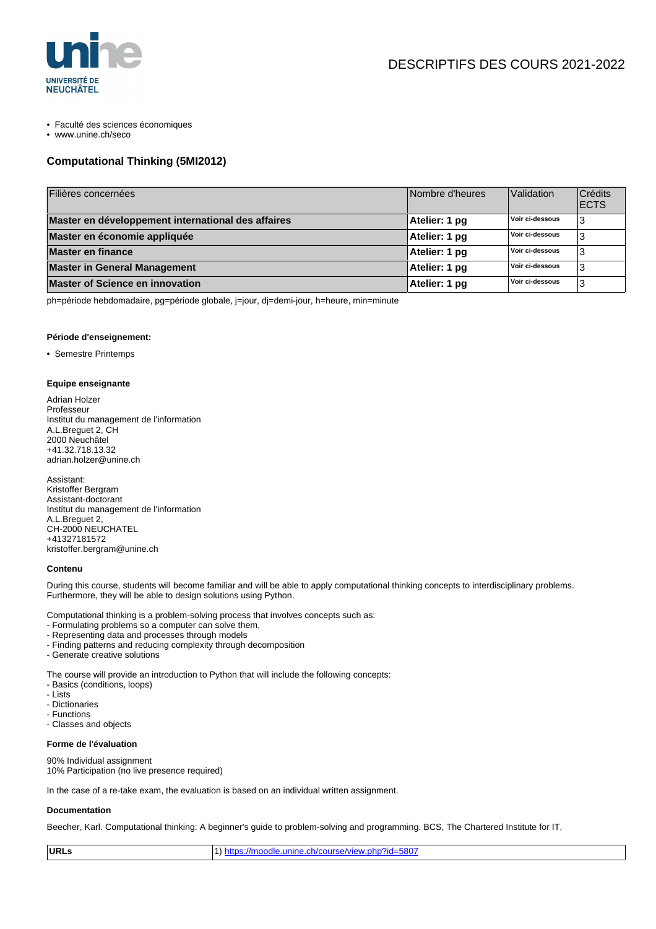

- Faculté des sciences économiques
- www.unine.ch/seco

# **Computational Thinking (5MI2012)**

| Filières concernées                                | Nombre d'heures | Validation      | Crédits<br><b>ECTS</b> |
|----------------------------------------------------|-----------------|-----------------|------------------------|
| Master en développement international des affaires | Atelier: 1 pg   | Voir ci-dessous | 3                      |
| Master en économie appliquée                       | Atelier: 1 pg   | Voir ci-dessous | 3                      |
| <b>Master en finance</b>                           | Atelier: 1 pg   | Voir ci-dessous | 3                      |
| <b>Master in General Management</b>                | Atelier: 1 pg   | Voir ci-dessous | 3                      |
| Master of Science en innovation                    | Atelier: 1 pg   | Voir ci-dessous | 3                      |

ph=période hebdomadaire, pg=période globale, j=jour, dj=demi-jour, h=heure, min=minute

### **Période d'enseignement:**

• Semestre Printemps

#### **Equipe enseignante**

Adrian Holzer **Professeur** Institut du management de l'information A.L.Breguet 2, CH 2000 Neuchâtel +41.32.718.13.32 adrian.holzer@unine.ch

Assistant: Kristoffer Bergram Assistant-doctorant Institut du management de l'information A.L.Breguet 2, CH-2000 NEUCHATEL +41327181572 kristoffer.bergram@unine.ch

### **Contenu**

During this course, students will become familiar and will be able to apply computational thinking concepts to interdisciplinary problems. Furthermore, they will be able to design solutions using Python.

Computational thinking is a problem-solving process that involves concepts such as:

- Formulating problems so a computer can solve them,
- Representing data and processes through models
- Finding patterns and reducing complexity through decomposition
- Generate creative solutions

The course will provide an introduction to Python that will include the following concepts:

- Basics (conditions, loops)
- Lists
- Dictionaries
- Functions
- Classes and objects

### **Forme de l'évaluation**

90% Individual assignment 10% Participation (no live presence required)

In the case of a re-take exam, the evaluation is based on an individual written assignment.

### **Documentation**

Beecher, Karl. Computational thinking: A beginner's guide to problem-solving and programming. BCS, The Chartered Institute for IT,

|  | URLs | $\vert$ 1) https://moodle.unine.ch/course/view.php?id=5807 |
|--|------|------------------------------------------------------------|
|--|------|------------------------------------------------------------|